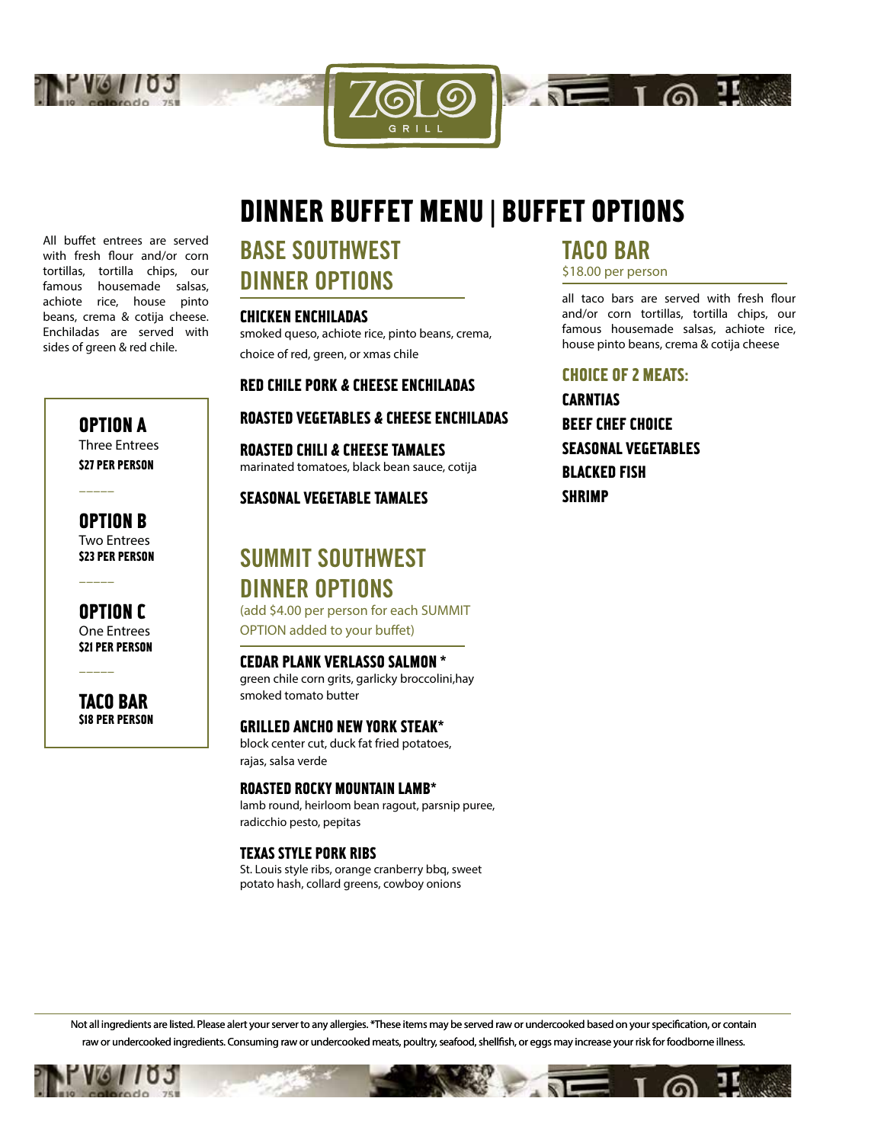



GRILI

All buffet entrees are served with fresh flour and/or corn tortillas, tortilla chips, our famous housemade salsas, achiote rice, house pinto beans, crema & cotija cheese. Enchiladas are served with sides of green & red chile.

> OPTION A Three Entrees

**\$27 PER PERSON** 

–––––

–––––

–––––

OPTION B Two Entrees **\$23 PER PERSON** 

OPTION C One Entrees **S21 PER PERSON** 

TACO BAR \$18 PER PERSON

# BASE SOUTHWEST DINNER OPTIONS

### CHICKEN ENCHILADAS

smoked queso, achiote rice, pinto beans, crema, choice of red, green, or xmas chile

### RED CHILE PORK & CHEESE ENCHILADAS

### ROASTED VEGETABLES & CHEESE ENCHILADAS

ROASTED CHILI & CHEESE TAMALES marinated tomatoes, black bean sauce, cotija

### SEASONAL VEGETABLE TAMALES

## SUMMIT SOUTHWEST DINNER OPTIONS

(add \$4.00 per person for each SUMMIT OPTION added to your buffet)

### CEDAR PLANK VERLASSO SALMON \*

green chile corn grits, garlicky broccolini,hay smoked tomato butter

### GRILLED ANCHO NEW YORK STEAK\*

block center cut, duck fat fried potatoes, rajas, salsa verde

### ROASTED ROCKY MOUNTAIN LAMB\*

lamb round, heirloom bean ragout, parsnip puree, radicchio pesto, pepitas

### TEXAS STYLE PORK RIBS

St. Louis style ribs, orange cranberry bbq, sweet potato hash, collard greens, cowboy onions

## TACO BAR

\$18.00 per person

 $\sqrt{10}$  1 @  $\sqrt{11}$ 

all taco bars are served with fresh flour and/or corn tortillas, tortilla chips, our famous housemade salsas, achiote rice, house pinto beans, crema & cotija cheese

### CHOICE OF 2 MEATS:

CARNTIAS BEEF CHEF CHOICE SEASONAL VEGETABLES BLACKED FISH **SHRIMP** 

Not all ingredients are listed. Please alert your server to any allergies. \*These items may be served raw or undercooked based on your specification, or contain raw or undercooked ingredients. Consuming raw or undercooked meats, poultry, seafood, shellfish, or eggs may increase your risk for foodborne illness.

 $\sqrt{8}$